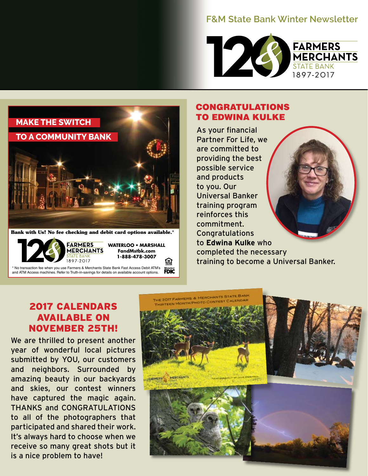## **F&M State Bank Winter Newsletter**





**Bank with Us! No fee checking and debit card options available.\***



\* No transaction fee when you use Farmers & Merchants State Bank Fast Access Debit ATM's **FDIC** and ATM Access machines. Refer to Truth-in-savings for details on available account options.

**WATERLOO • MARSHALL FandMstbk.com 1-888-478-3007**

亘

### **CONGRATULATIONS TO EDWINA KULKE**

As your financial Partner For Life, we are committed to providing the best possible service and products to you. Our Universal Banker training program reinforces this commitment. Congratulations to **Edwina Kulke** who completed the necessary training to become a Universal Banker.

## 2017 CALENDARS AVAILABLE ON NOVEMBER 25TH!

We are thrilled to present another year of wonderful local pictures submitted by YOU, our customers and neighbors. Surrounded by amazing beauty in our backyards and skies, our contest winners have captured the magic again. THANKS and CONGRATULATIONS to all of the photographers that participated and shared their work. It's always hard to choose when we receive so many great shots but it is a nice problem to have!

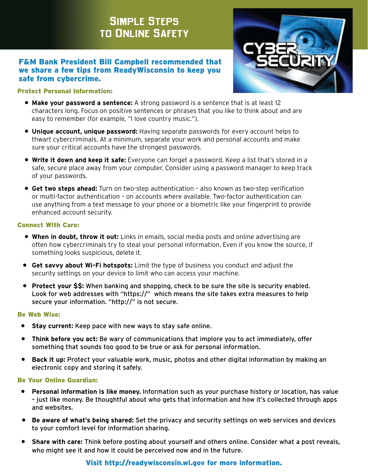# **Simple Steps to Online Safety**

#### F&M Bank President Bill Campbell recommended that we share a few tips from ReadyWisconsin to keep you safe from cybercrime.



#### Protect Personal Information:

- **Make your password a sentence:** A strong password is a sentence that is at least 12 characters long. Focus on positive sentences or phrases that you like to think about and are easy to remember (for example, "I love country music.").
- **Unique account, unique password:** Having separate passwords for every account helps to thwart cybercriminals. At a minimum, separate your work and personal accounts and make sure your critical accounts have the strongest passwords.
- **Write it down and keep it safe:** Everyone can forget a password. Keep a list that's stored in a safe, secure place away from your computer. Consider using a password manager to keep track of your passwords.
- **Get two steps ahead:** Turn on two-step authentication also known as two-step verification or multi-factor authentication – on accounts where available. Two-factor authentication can use anything from a text message to your phone or a biometric like your fingerprint to provide enhanced account security.

#### Connect With Care:

- **When in doubt, throw it out:** Links in emails, social media posts and online advertising are often how cybercriminals try to steal your personal information. Even if you know the source, if something looks suspicious, delete it.
- **Get savvy about Wi-Fi hotspots:** Limit the type of business you conduct and adjust the security settings on your device to limit who can access your machine.
- **Protect your \$\$:** When banking and shopping, check to be sure the site is security enabled. Look for web addresses with "https://" which means the site takes extra measures to help secure your information. "http://" is not secure.

#### Be Web Wise:

- **Stay current:** Keep pace with new ways to stay safe online.
- **Think before you act:** Be wary of communications that implore you to act immediately, offer something that sounds too good to be true or ask for personal information.
- **Back it up:** Protect your valuable work, music, photos and other digital information by making an electronic copy and storing it safely.

#### Be Your Online Guardian:

- **Personal information is like money.** Information such as your purchase history or location, has value – just like money. Be thoughtful about who gets that information and how it's collected through apps and websites.
- **Be aware of what's being shared:** Set the privacy and security settings on web services and devices to your comfort level for information sharing.
- **Share with care:** Think before posting about yourself and others online. Consider what a post reveals, who might see it and how it could be perceived now and in the future.

#### Visit http://readywisconsin.wi.gov for more information.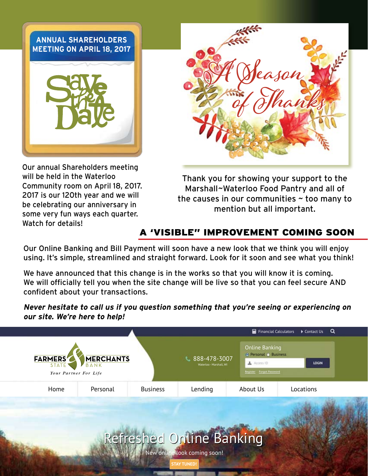## **ANNUAL SHAREHOLDERS MEETING ON APRIL 18, 2017**



Our annual Shareholders meeting will be held in the Waterloo Community room on April 18, 2017. 2017 is our 120th year and we will be celebrating our anniversary in some very fun ways each quarter. Watch for details!



Thank you for showing your support to the Marshall~Waterloo Food Pantry and all of the causes in our communities  $\sim$  too many to mention but all important.

## A 'VISIBLE" IMPROVEMENT COMING SOON

Our Online Banking and Bill Payment will soon have a new look that we think you will enjoy using. It's simple, streamlined and straight forward. Look for it soon and see what you think!

We have announced that this change is in the works so that you will know it is coming. We will officially tell you when the site change will be live so that you can feel secure AND confident about your transactions.